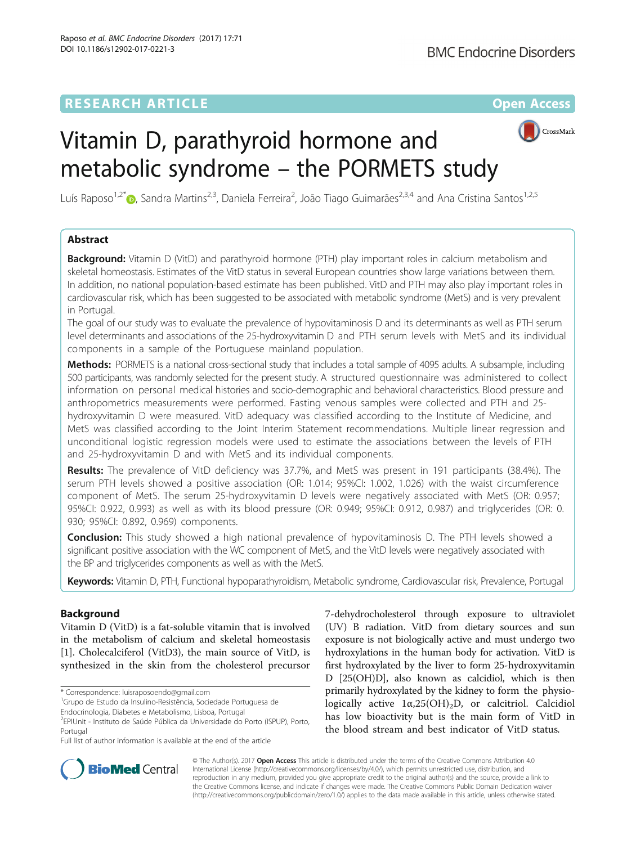## **RESEARCH ARTICLE Example 2014 12:30 The Contract of Contract ACCESS**



# Vitamin D, parathyroid hormone and metabolic syndrome – the PORMETS study

Luís Raposo<sup>1,2[\\*](http://orcid.org/0000-0003-1001-6017)</sup>®, Sandra Martins<sup>2,3</sup>, Daniela Ferreira<sup>2</sup>, João Tiago Guimarães<sup>2,3,4</sup> and Ana Cristina Santos<sup>1,2,5</sup>

## Abstract

**Background:** Vitamin D (VitD) and parathyroid hormone (PTH) play important roles in calcium metabolism and skeletal homeostasis. Estimates of the VitD status in several European countries show large variations between them. In addition, no national population-based estimate has been published. VitD and PTH may also play important roles in cardiovascular risk, which has been suggested to be associated with metabolic syndrome (MetS) and is very prevalent in Portugal.

The goal of our study was to evaluate the prevalence of hypovitaminosis D and its determinants as well as PTH serum level determinants and associations of the 25-hydroxyvitamin D and PTH serum levels with MetS and its individual components in a sample of the Portuguese mainland population.

Methods: PORMETS is a national cross-sectional study that includes a total sample of 4095 adults. A subsample, including 500 participants, was randomly selected for the present study. A structured questionnaire was administered to collect information on personal medical histories and socio-demographic and behavioral characteristics. Blood pressure and anthropometrics measurements were performed. Fasting venous samples were collected and PTH and 25 hydroxyvitamin D were measured. VitD adequacy was classified according to the Institute of Medicine, and MetS was classified according to the Joint Interim Statement recommendations. Multiple linear regression and unconditional logistic regression models were used to estimate the associations between the levels of PTH and 25-hydroxyvitamin D and with MetS and its individual components.

Results: The prevalence of VitD deficiency was 37.7%, and MetS was present in 191 participants (38.4%). The serum PTH levels showed a positive association (OR: 1.014; 95%CI: 1.002, 1.026) with the waist circumference component of MetS. The serum 25-hydroxyvitamin D levels were negatively associated with MetS (OR: 0.957; 95%CI: 0.922, 0.993) as well as with its blood pressure (OR: 0.949; 95%CI: 0.912, 0.987) and triglycerides (OR: 0. 930; 95%CI: 0.892, 0.969) components.

**Conclusion:** This study showed a high national prevalence of hypovitaminosis D. The PTH levels showed a significant positive association with the WC component of MetS, and the VitD levels were negatively associated with the BP and triglycerides components as well as with the MetS.

Keywords: Vitamin D, PTH, Functional hypoparathyroidism, Metabolic syndrome, Cardiovascular risk, Prevalence, Portugal

## Background

Vitamin D (VitD) is a fat-soluble vitamin that is involved in the metabolism of calcium and skeletal homeostasis [[1\]](#page-8-0). Cholecalciferol (VitD3), the main source of VitD, is synthesized in the skin from the cholesterol precursor

7-dehydrocholesterol through exposure to ultraviolet (UV) B radiation. VitD from dietary sources and sun exposure is not biologically active and must undergo two hydroxylations in the human body for activation. VitD is first hydroxylated by the liver to form 25-hydroxyvitamin D [25(OH)D], also known as calcidiol, which is then primarily hydroxylated by the kidney to form the physiologically active 1α,25(OH)2D, or calcitriol. Calcidiol has low bioactivity but is the main form of VitD in the blood stream and best indicator of VitD status.



© The Author(s). 2017 **Open Access** This article is distributed under the terms of the Creative Commons Attribution 4.0 International License [\(http://creativecommons.org/licenses/by/4.0/](http://creativecommons.org/licenses/by/4.0/)), which permits unrestricted use, distribution, and reproduction in any medium, provided you give appropriate credit to the original author(s) and the source, provide a link to the Creative Commons license, and indicate if changes were made. The Creative Commons Public Domain Dedication waiver [\(http://creativecommons.org/publicdomain/zero/1.0/](http://creativecommons.org/publicdomain/zero/1.0/)) applies to the data made available in this article, unless otherwise stated.

<sup>\*</sup> Correspondence: [luisraposoendo@gmail.com](mailto:luisraposoendo@gmail.com) <sup>1</sup>

<sup>&</sup>lt;sup>1</sup>Grupo de Estudo da Insulino-Resistência, Sociedade Portuguesa de

Endocrinologia, Diabetes e Metabolismo, Lisboa, Portugal

<sup>2</sup> EPIUnit - Instituto de Saúde Pública da Universidade do Porto (ISPUP), Porto, Portugal

Full list of author information is available at the end of the article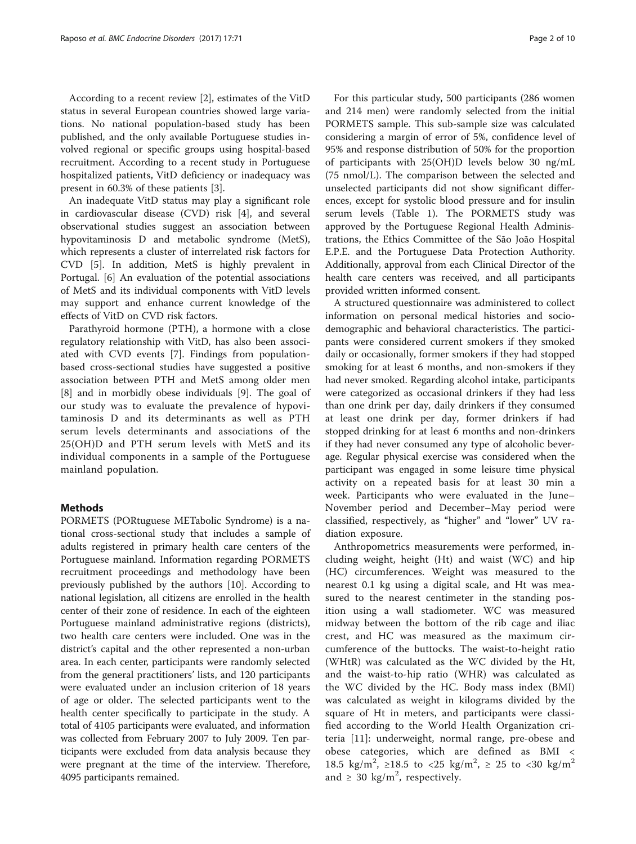According to a recent review [\[2](#page-8-0)], estimates of the VitD status in several European countries showed large variations. No national population-based study has been published, and the only available Portuguese studies involved regional or specific groups using hospital-based recruitment. According to a recent study in Portuguese hospitalized patients, VitD deficiency or inadequacy was present in 60.3% of these patients [[3](#page-8-0)].

An inadequate VitD status may play a significant role in cardiovascular disease (CVD) risk [[4\]](#page-8-0), and several observational studies suggest an association between hypovitaminosis D and metabolic syndrome (MetS), which represents a cluster of interrelated risk factors for CVD [[5\]](#page-8-0). In addition, MetS is highly prevalent in Portugal. [\[6](#page-8-0)] An evaluation of the potential associations of MetS and its individual components with VitD levels may support and enhance current knowledge of the effects of VitD on CVD risk factors.

Parathyroid hormone (PTH), a hormone with a close regulatory relationship with VitD, has also been associated with CVD events [\[7](#page-8-0)]. Findings from populationbased cross-sectional studies have suggested a positive association between PTH and MetS among older men [[8\]](#page-8-0) and in morbidly obese individuals [[9](#page-8-0)]. The goal of our study was to evaluate the prevalence of hypovitaminosis D and its determinants as well as PTH serum levels determinants and associations of the 25(OH)D and PTH serum levels with MetS and its individual components in a sample of the Portuguese mainland population.

#### Methods

PORMETS (PORtuguese METabolic Syndrome) is a national cross-sectional study that includes a sample of adults registered in primary health care centers of the Portuguese mainland. Information regarding PORMETS recruitment proceedings and methodology have been previously published by the authors [\[10\]](#page-8-0). According to national legislation, all citizens are enrolled in the health center of their zone of residence. In each of the eighteen Portuguese mainland administrative regions (districts), two health care centers were included. One was in the district's capital and the other represented a non-urban area. In each center, participants were randomly selected from the general practitioners' lists, and 120 participants were evaluated under an inclusion criterion of 18 years of age or older. The selected participants went to the health center specifically to participate in the study. A total of 4105 participants were evaluated, and information was collected from February 2007 to July 2009. Ten participants were excluded from data analysis because they were pregnant at the time of the interview. Therefore, 4095 participants remained.

For this particular study, 500 participants (286 women and 214 men) were randomly selected from the initial PORMETS sample. This sub-sample size was calculated considering a margin of error of 5%, confidence level of 95% and response distribution of 50% for the proportion of participants with 25(OH)D levels below 30 ng/mL (75 nmol/L). The comparison between the selected and unselected participants did not show significant differences, except for systolic blood pressure and for insulin serum levels (Table [1\)](#page-2-0). The PORMETS study was approved by the Portuguese Regional Health Administrations, the Ethics Committee of the São João Hospital E.P.E. and the Portuguese Data Protection Authority. Additionally, approval from each Clinical Director of the health care centers was received, and all participants provided written informed consent.

A structured questionnaire was administered to collect information on personal medical histories and sociodemographic and behavioral characteristics. The participants were considered current smokers if they smoked daily or occasionally, former smokers if they had stopped smoking for at least 6 months, and non-smokers if they had never smoked. Regarding alcohol intake, participants were categorized as occasional drinkers if they had less than one drink per day, daily drinkers if they consumed at least one drink per day, former drinkers if had stopped drinking for at least 6 months and non-drinkers if they had never consumed any type of alcoholic beverage. Regular physical exercise was considered when the participant was engaged in some leisure time physical activity on a repeated basis for at least 30 min a week. Participants who were evaluated in the June– November period and December–May period were classified, respectively, as "higher" and "lower" UV radiation exposure.

Anthropometrics measurements were performed, including weight, height (Ht) and waist (WC) and hip (HC) circumferences. Weight was measured to the nearest 0.1 kg using a digital scale, and Ht was measured to the nearest centimeter in the standing position using a wall stadiometer. WC was measured midway between the bottom of the rib cage and iliac crest, and HC was measured as the maximum circumference of the buttocks. The waist-to-height ratio (WHtR) was calculated as the WC divided by the Ht, and the waist-to-hip ratio (WHR) was calculated as the WC divided by the HC. Body mass index (BMI) was calculated as weight in kilograms divided by the square of Ht in meters, and participants were classified according to the World Health Organization criteria [[11\]](#page-8-0): underweight, normal range, pre-obese and obese categories, which are defined as BMI < 18.5 kg/m<sup>2</sup>, ≥18.5 to <25 kg/m<sup>2</sup>, ≥ 25 to <30 kg/m<sup>2</sup> and  $\geq 30$  kg/m<sup>2</sup>, respectively.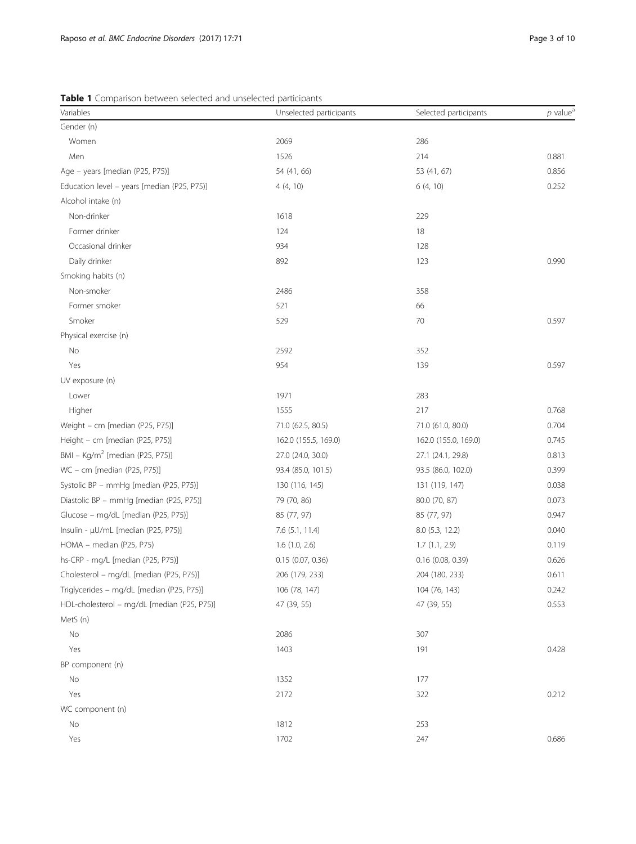<span id="page-2-0"></span>

|  | <b>Table 1</b> Comparison between selected and unselected participants |  |  |  |  |  |
|--|------------------------------------------------------------------------|--|--|--|--|--|
|--|------------------------------------------------------------------------|--|--|--|--|--|

| Variables                                   | Unselected participants | Selected participants | $p$ value |
|---------------------------------------------|-------------------------|-----------------------|-----------|
| Gender (n)                                  |                         |                       |           |
| Women                                       | 2069                    | 286                   |           |
| Men                                         | 1526                    | 214                   | 0.881     |
| Age - years [median (P25, P75)]             | 54 (41, 66)             | 53 (41, 67)           | 0.856     |
| Education level - years [median (P25, P75)] | 4(4, 10)                | 6 (4, 10)             | 0.252     |
| Alcohol intake (n)                          |                         |                       |           |
| Non-drinker                                 | 1618                    | 229                   |           |
| Former drinker                              | 124                     | 18                    |           |
| Occasional drinker                          | 934                     | 128                   |           |
| Daily drinker                               | 892                     | 123                   | 0.990     |
| Smoking habits (n)                          |                         |                       |           |
| Non-smoker                                  | 2486                    | 358                   |           |
| Former smoker                               | 521                     | 66                    |           |
| Smoker                                      | 529                     | 70                    | 0.597     |
| Physical exercise (n)                       |                         |                       |           |
| No                                          | 2592                    | 352                   |           |
| Yes                                         | 954                     | 139                   | 0.597     |
| UV exposure (n)                             |                         |                       |           |
| Lower                                       | 1971                    | 283                   |           |
| Higher                                      | 1555                    | 217                   | 0.768     |
| Weight - cm [median (P25, P75)]             | 71.0 (62.5, 80.5)       | 71.0 (61.0, 80.0)     | 0.704     |
| Height - cm [median (P25, P75)]             | 162.0 (155.5, 169.0)    | 162.0 (155.0, 169.0)  | 0.745     |
| BMI - Kg/m <sup>2</sup> [median (P25, P75)] | 27.0 (24.0, 30.0)       | 27.1 (24.1, 29.8)     | 0.813     |
| WC - cm [median (P25, P75)]                 | 93.4 (85.0, 101.5)      | 93.5 (86.0, 102.0)    | 0.399     |
| Systolic BP - mmHg [median (P25, P75)]      | 130 (116, 145)          | 131 (119, 147)        | 0.038     |
| Diastolic BP - mmHg [median (P25, P75)]     | 79 (70, 86)             | 80.0 (70, 87)         | 0.073     |
| Glucose - mg/dL [median (P25, P75)]         | 85 (77, 97)             | 85 (77, 97)           | 0.947     |
| Insulin - µU/mL [median (P25, P75)]         | $7.6$ $(5.1, 11.4)$     | 8.0 (5.3, 12.2)       | 0.040     |
| HOMA - median (P25, P75)                    | $1.6$ $(1.0, 2.6)$      | 1.7(1.1, 2.9)         | 0.119     |
| hs-CRP - mg/L [median (P25, P75)]           | 0.15(0.07, 0.36)        | $0.16$ (0.08, 0.39)   | 0.626     |
| Cholesterol - mg/dL [median (P25, P75)]     | 206 (179, 233)          | 204 (180, 233)        | 0.611     |
| Triglycerides - mg/dL [median (P25, P75)]   | 106 (78, 147)           | 104 (76, 143)         | 0.242     |
| HDL-cholesterol - mg/dL [median (P25, P75)] | 47 (39, 55)             | 47 (39, 55)           | 0.553     |
| MetS (n)                                    |                         |                       |           |
| No                                          | 2086                    | 307                   |           |
| Yes                                         | 1403                    | 191                   | 0.428     |
| BP component (n)                            |                         |                       |           |
| No                                          | 1352                    | 177                   |           |
| Yes                                         | 2172                    | 322                   | 0.212     |
| WC component (n)                            |                         |                       |           |
| No                                          | 1812                    | 253                   |           |
| Yes                                         | 1702                    | 247                   | 0.686     |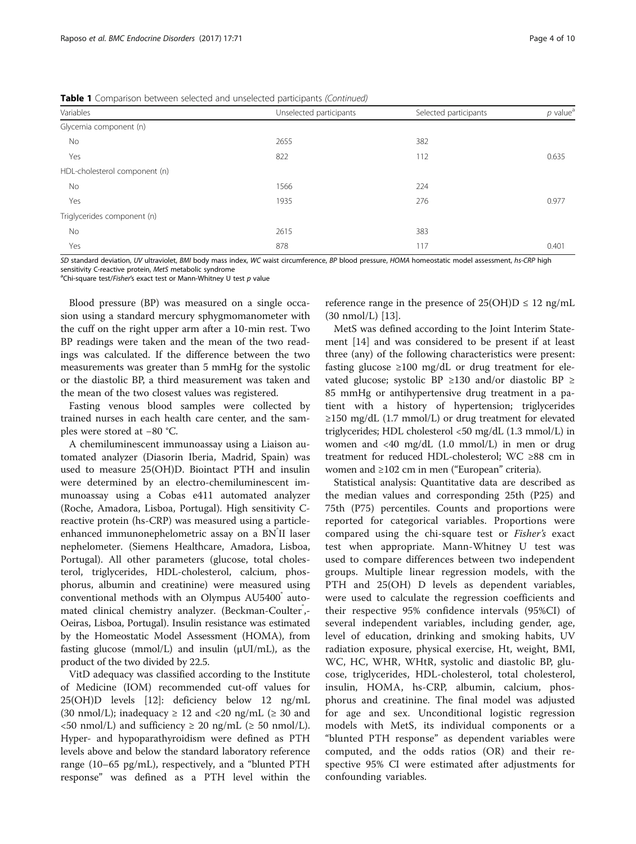Table 1 Comparison between selected and unselected participants (Continued)

| Variables                     | Unselected participants | Selected participants | $p$ value <sup><math>\bar{c}</math></sup> |
|-------------------------------|-------------------------|-----------------------|-------------------------------------------|
| Glycemia component (n)        |                         |                       |                                           |
| No                            | 2655                    | 382                   |                                           |
| Yes                           | 822                     | 112                   | 0.635                                     |
| HDL-cholesterol component (n) |                         |                       |                                           |
| No                            | 1566                    | 224                   |                                           |
| Yes                           | 1935                    | 276                   | 0.977                                     |
| Triglycerides component (n)   |                         |                       |                                           |
| No                            | 2615                    | 383                   |                                           |
| Yes                           | 878                     | 117                   | 0.401                                     |

SD standard deviation, UV ultraviolet, BMI body mass index, WC waist circumference, BP blood pressure, HOMA homeostatic model assessment, hs-CRP high sensitivity C-reactive protein, MetS metabolic syndrome

<sup>a</sup>Chi-square test/Fisher's exact test or Mann-Whitney U test p value

Blood pressure (BP) was measured on a single occasion using a standard mercury sphygmomanometer with the cuff on the right upper arm after a 10-min rest. Two BP readings were taken and the mean of the two readings was calculated. If the difference between the two measurements was greater than 5 mmHg for the systolic or the diastolic BP, a third measurement was taken and the mean of the two closest values was registered.

Fasting venous blood samples were collected by trained nurses in each health care center, and the samples were stored at −80 °C.

A chemiluminescent immunoassay using a Liaison automated analyzer (Diasorin Iberia, Madrid, Spain) was used to measure 25(OH)D. Biointact PTH and insulin were determined by an electro-chemiluminescent immunoassay using a Cobas e411 automated analyzer (Roche, Amadora, Lisboa, Portugal). High sensitivity Creactive protein (hs-CRP) was measured using a particleenhanced immunonephelometric assay on a BN II laser nephelometer. (Siemens Healthcare, Amadora, Lisboa, Portugal). All other parameters (glucose, total cholesterol, triglycerides, HDL-cholesterol, calcium, phosphorus, albumin and creatinine) were measured using conventional methods with an Olympus AU5400 automated clinical chemistry analyzer. (Beckman-Coulter<sup>\*</sup>,-Oeiras, Lisboa, Portugal). Insulin resistance was estimated by the Homeostatic Model Assessment (HOMA), from fasting glucose ( $mmol/L$ ) and insulin ( $\mu Ul/mL$ ), as the product of the two divided by 22.5.

VitD adequacy was classified according to the Institute of Medicine (IOM) recommended cut-off values for 25(OH)D levels [\[12](#page-8-0)]: deficiency below 12 ng/mL (30 nmol/L); inadequacy  $\geq$  12 and <20 ng/mL ( $\geq$  30 and <50 nmol/L) and sufficiency  $\geq$  20 ng/mL ( $\geq$  50 nmol/L). Hyper- and hypoparathyroidism were defined as PTH levels above and below the standard laboratory reference range (10–65 pg/mL), respectively, and a "blunted PTH response" was defined as a PTH level within the

reference range in the presence of  $25(OH)D \le 12$  ng/mL (30 nmol/L) [\[13](#page-9-0)].

MetS was defined according to the Joint Interim Statement [\[14](#page-9-0)] and was considered to be present if at least three (any) of the following characteristics were present: fasting glucose  $\geq 100$  mg/dL or drug treatment for elevated glucose; systolic BP  $\geq$ 130 and/or diastolic BP  $\geq$ 85 mmHg or antihypertensive drug treatment in a patient with a history of hypertension; triglycerides  $\geq$ 150 mg/dL (1.7 mmol/L) or drug treatment for elevated triglycerides; HDL cholesterol <50 mg/dL (1.3 mmol/L) in women and <40 mg/dL (1.0 mmol/L) in men or drug treatment for reduced HDL-cholesterol; WC ≥88 cm in women and ≥102 cm in men ("European" criteria).

Statistical analysis: Quantitative data are described as the median values and corresponding 25th (P25) and 75th (P75) percentiles. Counts and proportions were reported for categorical variables. Proportions were compared using the chi-square test or Fisher's exact test when appropriate. Mann-Whitney U test was used to compare differences between two independent groups. Multiple linear regression models, with the PTH and 25(OH) D levels as dependent variables, were used to calculate the regression coefficients and their respective 95% confidence intervals (95%CI) of several independent variables, including gender, age, level of education, drinking and smoking habits, UV radiation exposure, physical exercise, Ht, weight, BMI, WC, HC, WHR, WHtR, systolic and diastolic BP, glucose, triglycerides, HDL-cholesterol, total cholesterol, insulin, HOMA, hs-CRP, albumin, calcium, phosphorus and creatinine. The final model was adjusted for age and sex. Unconditional logistic regression models with MetS, its individual components or a "blunted PTH response" as dependent variables were computed, and the odds ratios (OR) and their respective 95% CI were estimated after adjustments for confounding variables.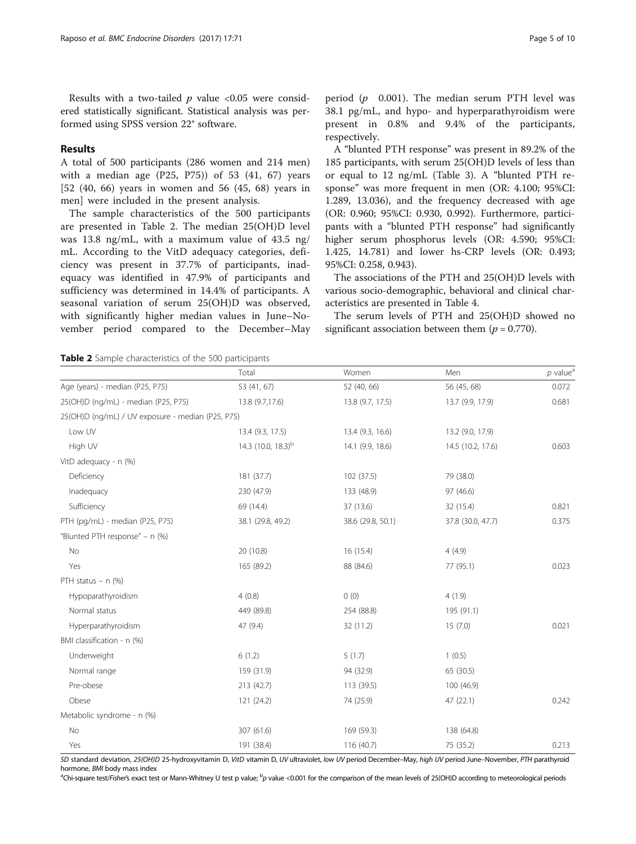Results with a two-tailed  $p$  value <0.05 were considered statistically significant. Statistical analysis was performed using SPSS version 22® software.

#### Results

A total of 500 participants (286 women and 214 men) with a median age (P25, P75)) of 53 (41, 67) years [52 (40, 66) years in women and 56 (45, 68) years in men] were included in the present analysis.

The sample characteristics of the 500 participants are presented in Table 2. The median 25(OH)D level was 13.8 ng/mL, with a maximum value of 43.5 ng/ mL. According to the VitD adequacy categories, deficiency was present in 37.7% of participants, inadequacy was identified in 47.9% of participants and sufficiency was determined in 14.4% of participants. A seasonal variation of serum 25(OH)D was observed, with significantly higher median values in June–November period compared to the December–May period  $(p \ 0.001)$ . The median serum PTH level was 38.1 pg/mL, and hypo- and hyperparathyroidism were present in 0.8% and 9.4% of the participants, respectively.

A "blunted PTH response" was present in 89.2% of the 185 participants, with serum 25(OH)D levels of less than or equal to 12 ng/mL (Table [3\)](#page-5-0). A "blunted PTH response" was more frequent in men (OR: 4.100; 95%CI: 1.289, 13.036), and the frequency decreased with age (OR: 0.960; 95%CI: 0.930, 0.992). Furthermore, participants with a "blunted PTH response" had significantly higher serum phosphorus levels (OR: 4.590; 95%CI: 1.425, 14.781) and lower hs-CRP levels (OR: 0.493; 95%CI: 0.258, 0.943).

The associations of the PTH and 25(OH)D levels with various socio-demographic, behavioral and clinical characteristics are presented in Table [4.](#page-5-0)

The serum levels of PTH and 25(OH)D showed no significant association between them  $(p = 0.770)$ .

Table 2 Sample characteristics of the 500 participants

|                                                   | Total                          | Women             | Men               | $p$ value <sup>a</sup> |
|---------------------------------------------------|--------------------------------|-------------------|-------------------|------------------------|
| Age (years) - median (P25, P75)                   | 53 (41, 67)                    | 52 (40, 66)       | 56 (45, 68)       | 0.072                  |
| 25(OH)D (ng/mL) - median (P25, P75)               | 13.8 (9.7,17.6)                | 13.8 (9.7, 17.5)  | 13.7 (9.9, 17.9)  | 0.681                  |
| 25(OH)D (ng/mL) / UV exposure - median (P25, P75) |                                |                   |                   |                        |
| Low UV                                            | 13.4 (9.3, 17.5)               | 13.4 (9.3, 16.6)  | 13.2 (9.0, 17.9)  |                        |
| High UV                                           | 14.3 (10.0, 18.3) <sup>b</sup> | 14.1 (9.9, 18.6)  | 14.5 (10.2, 17.6) | 0.603                  |
| VitD adequacy - n (%)                             |                                |                   |                   |                        |
| Deficiency                                        | 181 (37.7)                     | 102 (37.5)        | 79 (38.0)         |                        |
| Inadequacy                                        | 230 (47.9)                     | 133 (48.9)        | 97 (46.6)         |                        |
| Sufficiency                                       | 69 (14.4)                      | 37 (13.6)         | 32 (15.4)         | 0.821                  |
| PTH (pg/mL) - median (P25, P75)                   | 38.1 (29.8, 49.2)              | 38.6 (29.8, 50.1) | 37.8 (30.0, 47.7) | 0.375                  |
| "Blunted PTH response" - n (%)                    |                                |                   |                   |                        |
| No                                                | 20 (10.8)                      | 16(15.4)          | 4(4.9)            |                        |
| Yes                                               | 165 (89.2)                     | 88 (84.6)         | 77 (95.1)         | 0.023                  |
| PTH status $- n$ (%)                              |                                |                   |                   |                        |
| Hypoparathyroidism                                | 4(0.8)                         | 0(0)              | 4(1.9)            |                        |
| Normal status                                     | 449 (89.8)                     | 254 (88.8)        | 195 (91.1)        |                        |
| Hyperparathyroidism                               | 47 (9.4)                       | 32 (11.2)         | 15(7.0)           | 0.021                  |
| BMI classification - n (%)                        |                                |                   |                   |                        |
| Underweight                                       | 6(1.2)                         | 5(1.7)            | 1(0.5)            |                        |
| Normal range                                      | 159 (31.9)                     | 94 (32.9)         | 65 (30.5)         |                        |
| Pre-obese                                         | 213(42.7)                      | 113 (39.5)        | 100 (46.9)        |                        |
| Obese                                             | 121 (24.2)                     | 74 (25.9)         | 47 (22.1)         | 0.242                  |
| Metabolic syndrome - n (%)                        |                                |                   |                   |                        |
| No                                                | 307 (61.6)                     | 169 (59.3)        | 138 (64.8)        |                        |
| Yes                                               | 191 (38.4)                     | 116 (40.7)        | 75 (35.2)         | 0.213                  |

SD standard deviation, 25(OH)D 25-hydroxyvitamin D, VitD vitamin D, UV ultraviolet, low UV period December-May, high UV period June–November, PTH parathyroid hormone, BMI body mass index

Chi-square test/Fisher's exact test or Mann-Whitney U test p value; <sup>b</sup>p value <0.001 for the comparison of the mean levels of 25(OH)D according to meteorological periods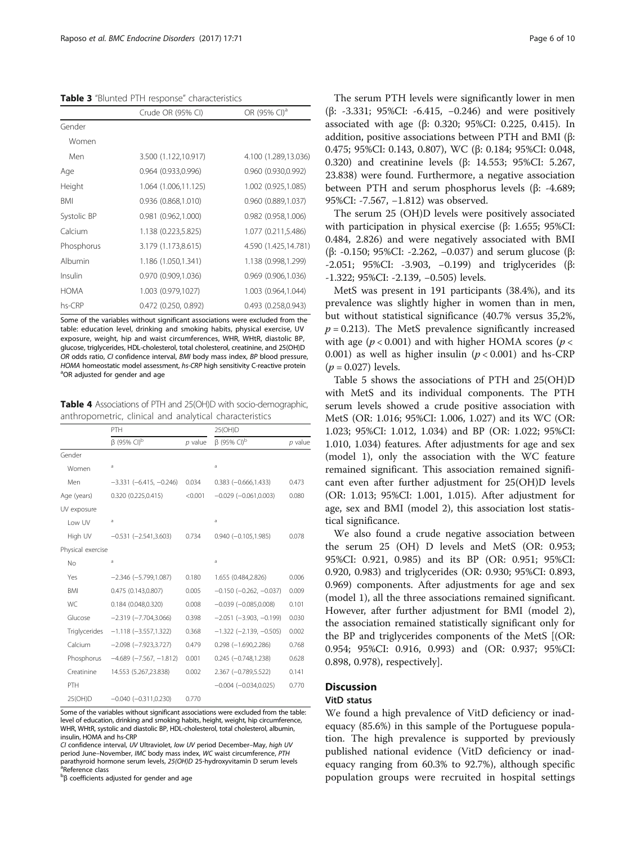<span id="page-5-0"></span>Table 3 "Blunted PTH response" characteristics

|             | Crude OR (95% CI)      | OR (95% CI) <sup>d</sup> |
|-------------|------------------------|--------------------------|
| Gender      |                        |                          |
| Women       |                        |                          |
| Men         | 3.500 (1.122,10.917)   | 4.100 (1.289,13.036)     |
| Age         | 0.964(0.933,0.996)     | 0.960 (0.930,0.992)      |
| Height      | 1.064 (1.006,11.125)   | 1.002 (0.925,1.085)      |
| <b>BMI</b>  | 0.936(0.868, 1.010)    | 0.960 (0.889,1.037)      |
| Systolic BP | 0.981(0.962,1.000)     | 0.982 (0.958,1.006)      |
| Calcium     | 1.138 (0.223,5.825)    | 1.077 (0.211,5.486)      |
| Phosphorus  | 3.179 (1.173,8.615)    | 4.590 (1.425,14.781)     |
| Albumin     | 1.186 (1.050,1.341)    | 1.138 (0.998,1.299)      |
| Insulin     | 0.970 (0.909,1.036)    | 0.969(0.906, 1.036)      |
| <b>HOMA</b> | 1.003 (0.979,1027)     | 1.003 (0.964,1.044)      |
| hs-CRP      | $0.472$ (0.250, 0.892) | 0.493 (0.258,0.943)      |

Some of the variables without significant associations were excluded from the table: education level, drinking and smoking habits, physical exercise, UV exposure, weight, hip and waist circumferences, WHR, WHtR, diastolic BP, glucose, triglycerides, HDL-cholesterol, total cholesterol, creatinine, and 25(OH)D OR odds ratio, CI confidence interval, BMI body mass index, BP blood pressure, HOMA homeostatic model assessment, hs-CRP high sensitivity C-reactive protein <sup>a</sup>OR adjusted for gender and age

Table 4 Associations of PTH and 25(OH)D with socio-demographic, anthropometric, clinical and analytical characteristics

|                   | PTH                         |           | 25(OH)D                          |         |
|-------------------|-----------------------------|-----------|----------------------------------|---------|
|                   | $β$ (95% CI) <sup>b</sup>   | $p$ value | $β$ (95% CI) <sup>b</sup>        | p value |
| Gender            |                             |           |                                  |         |
| Women             | a                           |           | a                                |         |
| Men               | $-3.331 (-6.415, -0.246)$   | 0.034     | $0.383 (-0.666, 1.433)$          | 0.473   |
| Age (years)       | 0.320 (0.225,0.415)         | < 0.001   | $-0.029$ $(-0.061, 0.003)$       | 0.080   |
| UV exposure       |                             |           |                                  |         |
| Low UV            | ā                           |           | a                                |         |
| High UV           | $-0.531 (-2.541, 3.603)$    | 0.734     | $0.940 (-0.105, 1.985)$          | 0.078   |
| Physical exercise |                             |           |                                  |         |
| No                | a                           |           | a                                |         |
| Yes               | $-2.346 (-5.799, 1.087)$    | 0.180     | 1.655 (0.484,2.826)              | 0.006   |
| <b>BMI</b>        | 0.475 (0.143,0.807)         | 0.005     | $-0.150$ ( $-0.262$ , $-0.037$ ) | 0.009   |
| WC                | 0.184 (0.048,0.320)         | 0.008     | $-0.039$ $(-0.085, 0.008)$       | 0.101   |
| Glucose           | $-2.319(-7.704,3.066)$      | 0.398     | $-2.051$ $(-3.903, -0.199)$      | 0.030   |
| Triglycerides     | $-1.118 (-3.557, 1.322)$    | 0.368     | $-1.322$ ( $-2.139$ , $-0.505$ ) | 0.002   |
| Calcium           | $-2.098$ $(-7.923,3.727)$   | 0.479     | $0.298 (-1.690, 2.286)$          | 0.768   |
| Phosphorus        | $-4.689$ $(-7.567, -1.812)$ | 0.001     | $0.245 (-0.748, 1.238)$          | 0.628   |
| Creatinine        | 14.553 (5.267,23.838)       | 0.002     | 2.367 (-0.789,5.522)             | 0.141   |
| PTH               |                             |           | $-0.004 (-0.034, 0.025)$         | 0.770   |
| 25(OH)D           | $-0.040$ $(-0.311, 0.230)$  | 0.770     |                                  |         |

Some of the variables without significant associations were excluded from the table: level of education, drinking and smoking habits, height, weight, hip circumference, WHR, WHtR, systolic and diastolic BP, HDL-cholesterol, total cholesterol, albumin, insulin, HOMA and hs-CRP

CI confidence interval, UV Ultraviolet, low UV period December–May, high UV period June–November, IMC body mass index, WC waist circumference, PTH parathyroid hormone serum levels, 25(OH)D 25-hydroxyvitamin D serum levels <sup>a</sup> <sup>a</sup>Reference class

 $\rm ^{b} \beta$  coefficients adjusted for gender and age

The serum PTH levels were significantly lower in men (β: -3.331; 95%CI: -6.415, −0.246) and were positively associated with age (β: 0.320; 95%CI: 0.225, 0.415). In addition, positive associations between PTH and BMI (β: 0.475; 95%CI: 0.143, 0.807), WC (β: 0.184; 95%CI: 0.048, 0.320) and creatinine levels (β: 14.553; 95%CI: 5.267, 23.838) were found. Furthermore, a negative association between PTH and serum phosphorus levels (β: -4.689; 95%CI: -7.567, −1.812) was observed.

The serum 25 (OH)D levels were positively associated with participation in physical exercise (β: 1.655; 95%CI: 0.484, 2.826) and were negatively associated with BMI (β: -0.150; 95%CI: -2.262, −0.037) and serum glucose (β: -2.051; 95%CI: -3.903, −0.199) and triglycerides (β: -1.322; 95%CI: -2.139, −0.505) levels.

MetS was present in 191 participants (38.4%), and its prevalence was slightly higher in women than in men, but without statistical significance (40.7% versus 35,2%,  $p = 0.213$ ). The MetS prevalence significantly increased with age ( $p < 0.001$ ) and with higher HOMA scores ( $p <$ 0.001) as well as higher insulin ( $p < 0.001$ ) and hs-CRP  $(p = 0.027)$  levels.

Table [5](#page-6-0) shows the associations of PTH and 25(OH)D with MetS and its individual components. The PTH serum levels showed a crude positive association with MetS (OR: 1.016; 95%CI: 1.006, 1.027) and its WC (OR: 1.023; 95%CI: 1.012, 1.034) and BP (OR: 1.022; 95%CI: 1.010, 1.034) features. After adjustments for age and sex (model 1), only the association with the WC feature remained significant. This association remained significant even after further adjustment for 25(OH)D levels (OR: 1.013; 95%CI: 1.001, 1.015). After adjustment for age, sex and BMI (model 2), this association lost statistical significance.

We also found a crude negative association between the serum 25 (OH) D levels and MetS (OR: 0.953; 95%CI: 0.921, 0.985) and its BP (OR: 0.951; 95%CI: 0.920, 0.983) and triglycerides (OR: 0.930; 95%CI: 0.893, 0.969) components. After adjustments for age and sex (model 1), all the three associations remained significant. However, after further adjustment for BMI (model 2), the association remained statistically significant only for the BP and triglycerides components of the MetS [(OR: 0.954; 95%CI: 0.916, 0.993) and (OR: 0.937; 95%CI: 0.898, 0.978), respectively].

## **Discussion**

#### VitD status

We found a high prevalence of VitD deficiency or inadequacy (85.6%) in this sample of the Portuguese population. The high prevalence is supported by previously published national evidence (VitD deficiency or inadequacy ranging from 60.3% to 92.7%), although specific population groups were recruited in hospital settings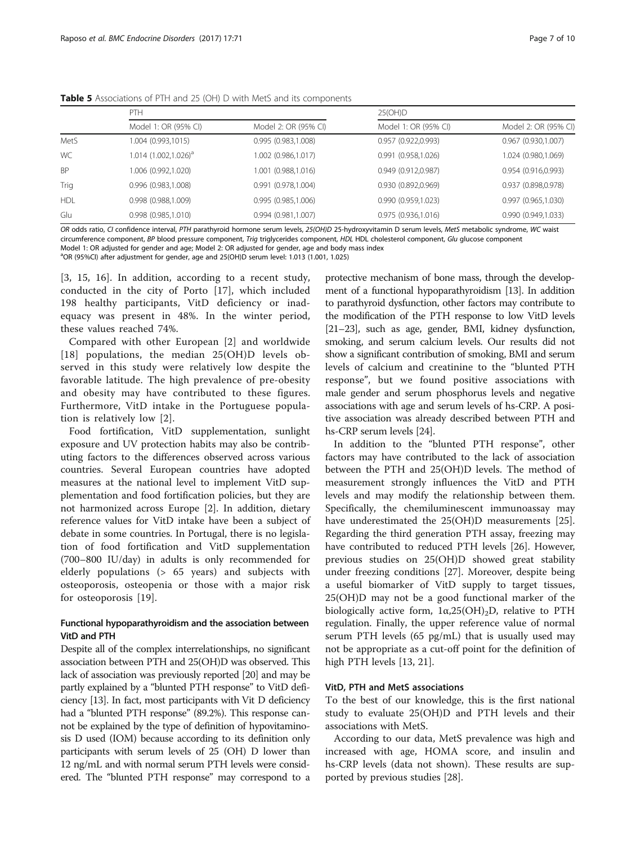|            | <b>PTH</b>                 |                      | 25(OH)D              |                      |  |
|------------|----------------------------|----------------------|----------------------|----------------------|--|
|            | Model 1: OR (95% CI)       | Model 2: OR (95% CI) | Model 1: OR (95% CI) | Model 2: OR (95% CI) |  |
| MetS       | 1.004 (0.993,1015)         | 0.995 (0.983,1.008)  | 0.957 (0.922,0.993)  | 0.967 (0.930,1.007)  |  |
| WC         | $1.014$ $(1.002, 1.026)^a$ | 1.002 (0.986,1.017)  | 0.991 (0.958,1.026)  | 1.024 (0.980,1.069)  |  |
| <b>BP</b>  | 1.006 (0.992,1.020)        | 1.001 (0.988,1.016)  | 0.949(0.912,0.987)   | 0.954(0.916, 0.993)  |  |
| Trig       | 0.996(0.983,1.008)         | 0.991 (0.978,1.004)  | 0.930(0.892,0.969)   | 0.937 (0.898,0.978)  |  |
| <b>HDL</b> | 0.998 (0.988,1.009)        | 0.995(0.985, 1.006)  | 0.990 (0.959,1.023)  | 0.997 (0.965,1.030)  |  |
| Glu        | 0.998(0.985, 1.010)        | 0.994(0.981,1.007)   | 0.975 (0.936,1.016)  | 0.990(0.949,1.033)   |  |

<span id="page-6-0"></span>Table 5 Associations of PTH and 25 (OH) D with MetS and its components

OR odds ratio, CI confidence interval, PTH parathyroid hormone serum levels, 25(OH)D 25-hydroxyvitamin D serum levels, MetS metabolic syndrome, WC waist circumference component, BP blood pressure component, Trig triglycerides component, HDL HDL cholesterol component, Glu glucose component Model 1: OR adjusted for gender and age; Model 2: OR adjusted for gender, age and body mass index

a OR (95%CI) after adjustment for gender, age and 25(OH)D serum level: 1.013 (1.001, 1.025)

[[3,](#page-8-0) [15](#page-9-0), [16\]](#page-9-0). In addition, according to a recent study, conducted in the city of Porto [[17\]](#page-9-0), which included 198 healthy participants, VitD deficiency or inadequacy was present in 48%. In the winter period, these values reached 74%.

Compared with other European [[2](#page-8-0)] and worldwide [[18](#page-9-0)] populations, the median 25(OH)D levels observed in this study were relatively low despite the favorable latitude. The high prevalence of pre-obesity and obesity may have contributed to these figures. Furthermore, VitD intake in the Portuguese population is relatively low [[2](#page-8-0)].

Food fortification, VitD supplementation, sunlight exposure and UV protection habits may also be contributing factors to the differences observed across various countries. Several European countries have adopted measures at the national level to implement VitD supplementation and food fortification policies, but they are not harmonized across Europe [[2](#page-8-0)]. In addition, dietary reference values for VitD intake have been a subject of debate in some countries. In Portugal, there is no legislation of food fortification and VitD supplementation (700–800 IU/day) in adults is only recommended for elderly populations (> 65 years) and subjects with osteoporosis, osteopenia or those with a major risk for osteoporosis [[19\]](#page-9-0).

### Functional hypoparathyroidism and the association between VitD and PTH

Despite all of the complex interrelationships, no significant association between PTH and 25(OH)D was observed. This lack of association was previously reported [[20](#page-9-0)] and may be partly explained by a "blunted PTH response" to VitD deficiency [\[13\]](#page-9-0). In fact, most participants with Vit D deficiency had a "blunted PTH response" (89.2%). This response cannot be explained by the type of definition of hypovitaminosis D used (IOM) because according to its definition only participants with serum levels of 25 (OH) D lower than 12 ng/mL and with normal serum PTH levels were considered. The "blunted PTH response" may correspond to a

protective mechanism of bone mass, through the development of a functional hypoparathyroidism [\[13\]](#page-9-0). In addition to parathyroid dysfunction, other factors may contribute to the modification of the PTH response to low VitD levels [[21](#page-9-0)–[23](#page-9-0)], such as age, gender, BMI, kidney dysfunction, smoking, and serum calcium levels. Our results did not show a significant contribution of smoking, BMI and serum levels of calcium and creatinine to the "blunted PTH response", but we found positive associations with male gender and serum phosphorus levels and negative associations with age and serum levels of hs-CRP. A positive association was already described between PTH and hs-CRP serum levels [[24](#page-9-0)].

In addition to the "blunted PTH response", other factors may have contributed to the lack of association between the PTH and 25(OH)D levels. The method of measurement strongly influences the VitD and PTH levels and may modify the relationship between them. Specifically, the chemiluminescent immunoassay may have underestimated the 25(OH)D measurements [\[25](#page-9-0)]. Regarding the third generation PTH assay, freezing may have contributed to reduced PTH levels [\[26](#page-9-0)]. However, previous studies on 25(OH)D showed great stability under freezing conditions [\[27\]](#page-9-0). Moreover, despite being a useful biomarker of VitD supply to target tissues, 25(OH)D may not be a good functional marker of the biologically active form,  $1\alpha,25(OH)_2D$ , relative to PTH regulation. Finally, the upper reference value of normal serum PTH levels (65 pg/mL) that is usually used may not be appropriate as a cut-off point for the definition of high PTH levels [[13](#page-9-0), [21](#page-9-0)].

#### VitD, PTH and MetS associations

To the best of our knowledge, this is the first national study to evaluate 25(OH)D and PTH levels and their associations with MetS.

According to our data, MetS prevalence was high and increased with age, HOMA score, and insulin and hs-CRP levels (data not shown). These results are supported by previous studies [[28\]](#page-9-0).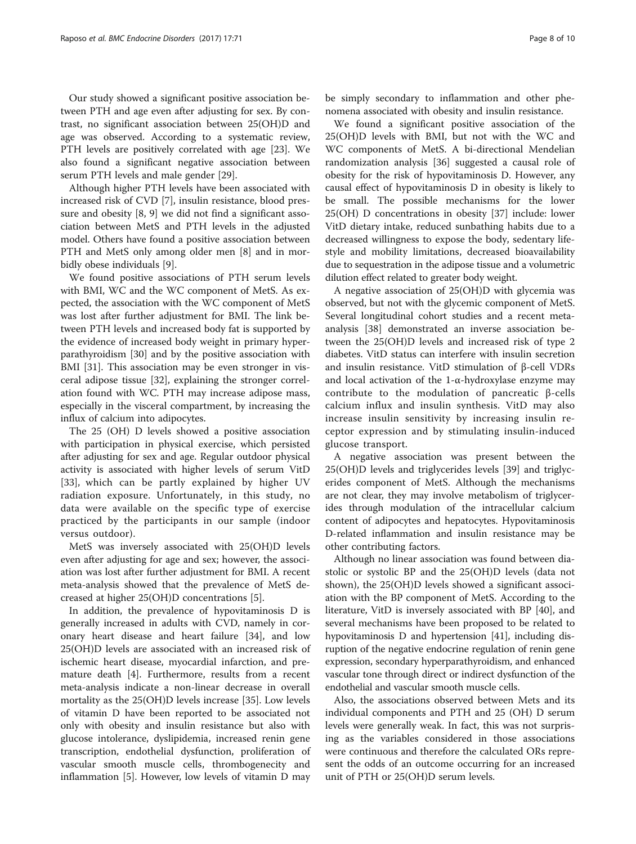Our study showed a significant positive association between PTH and age even after adjusting for sex. By contrast, no significant association between 25(OH)D and age was observed. According to a systematic review, PTH levels are positively correlated with age [[23](#page-9-0)]. We also found a significant negative association between serum PTH levels and male gender [\[29](#page-9-0)].

Although higher PTH levels have been associated with increased risk of CVD [\[7](#page-8-0)], insulin resistance, blood pressure and obesity [[8, 9\]](#page-8-0) we did not find a significant association between MetS and PTH levels in the adjusted model. Others have found a positive association between PTH and MetS only among older men [[8](#page-8-0)] and in morbidly obese individuals [\[9](#page-8-0)].

We found positive associations of PTH serum levels with BMI, WC and the WC component of MetS. As expected, the association with the WC component of MetS was lost after further adjustment for BMI. The link between PTH levels and increased body fat is supported by the evidence of increased body weight in primary hyperparathyroidism [\[30\]](#page-9-0) and by the positive association with BMI [[31\]](#page-9-0). This association may be even stronger in visceral adipose tissue [\[32\]](#page-9-0), explaining the stronger correlation found with WC. PTH may increase adipose mass, especially in the visceral compartment, by increasing the influx of calcium into adipocytes.

The 25 (OH) D levels showed a positive association with participation in physical exercise, which persisted after adjusting for sex and age. Regular outdoor physical activity is associated with higher levels of serum VitD [[33\]](#page-9-0), which can be partly explained by higher UV radiation exposure. Unfortunately, in this study, no data were available on the specific type of exercise practiced by the participants in our sample (indoor versus outdoor).

MetS was inversely associated with 25(OH)D levels even after adjusting for age and sex; however, the association was lost after further adjustment for BMI. A recent meta-analysis showed that the prevalence of MetS decreased at higher 25(OH)D concentrations [[5](#page-8-0)].

In addition, the prevalence of hypovitaminosis D is generally increased in adults with CVD, namely in coronary heart disease and heart failure [[34\]](#page-9-0), and low 25(OH)D levels are associated with an increased risk of ischemic heart disease, myocardial infarction, and premature death [\[4](#page-8-0)]. Furthermore, results from a recent meta-analysis indicate a non-linear decrease in overall mortality as the 25(OH)D levels increase [[35\]](#page-9-0). Low levels of vitamin D have been reported to be associated not only with obesity and insulin resistance but also with glucose intolerance, dyslipidemia, increased renin gene transcription, endothelial dysfunction, proliferation of vascular smooth muscle cells, thrombogenecity and inflammation [\[5](#page-8-0)]. However, low levels of vitamin D may be simply secondary to inflammation and other phenomena associated with obesity and insulin resistance.

We found a significant positive association of the 25(OH)D levels with BMI, but not with the WC and WC components of MetS. A bi-directional Mendelian randomization analysis [[36](#page-9-0)] suggested a causal role of obesity for the risk of hypovitaminosis D. However, any causal effect of hypovitaminosis D in obesity is likely to be small. The possible mechanisms for the lower 25(OH) D concentrations in obesity [\[37\]](#page-9-0) include: lower VitD dietary intake, reduced sunbathing habits due to a decreased willingness to expose the body, sedentary lifestyle and mobility limitations, decreased bioavailability due to sequestration in the adipose tissue and a volumetric dilution effect related to greater body weight.

A negative association of 25(OH)D with glycemia was observed, but not with the glycemic component of MetS. Several longitudinal cohort studies and a recent metaanalysis [[38\]](#page-9-0) demonstrated an inverse association between the 25(OH)D levels and increased risk of type 2 diabetes. VitD status can interfere with insulin secretion and insulin resistance. VitD stimulation of β-cell VDRs and local activation of the  $1-\alpha$ -hydroxylase enzyme may contribute to the modulation of pancreatic β-cells calcium influx and insulin synthesis. VitD may also increase insulin sensitivity by increasing insulin receptor expression and by stimulating insulin-induced glucose transport.

A negative association was present between the 25(OH)D levels and triglycerides levels [\[39\]](#page-9-0) and triglycerides component of MetS. Although the mechanisms are not clear, they may involve metabolism of triglycerides through modulation of the intracellular calcium content of adipocytes and hepatocytes. Hypovitaminosis D-related inflammation and insulin resistance may be other contributing factors.

Although no linear association was found between diastolic or systolic BP and the 25(OH)D levels (data not shown), the 25(OH)D levels showed a significant association with the BP component of MetS. According to the literature, VitD is inversely associated with BP [[40\]](#page-9-0), and several mechanisms have been proposed to be related to hypovitaminosis D and hypertension [\[41\]](#page-9-0), including disruption of the negative endocrine regulation of renin gene expression, secondary hyperparathyroidism, and enhanced vascular tone through direct or indirect dysfunction of the endothelial and vascular smooth muscle cells.

Also, the associations observed between Mets and its individual components and PTH and 25 (OH) D serum levels were generally weak. In fact, this was not surprising as the variables considered in those associations were continuous and therefore the calculated ORs represent the odds of an outcome occurring for an increased unit of PTH or 25(OH)D serum levels.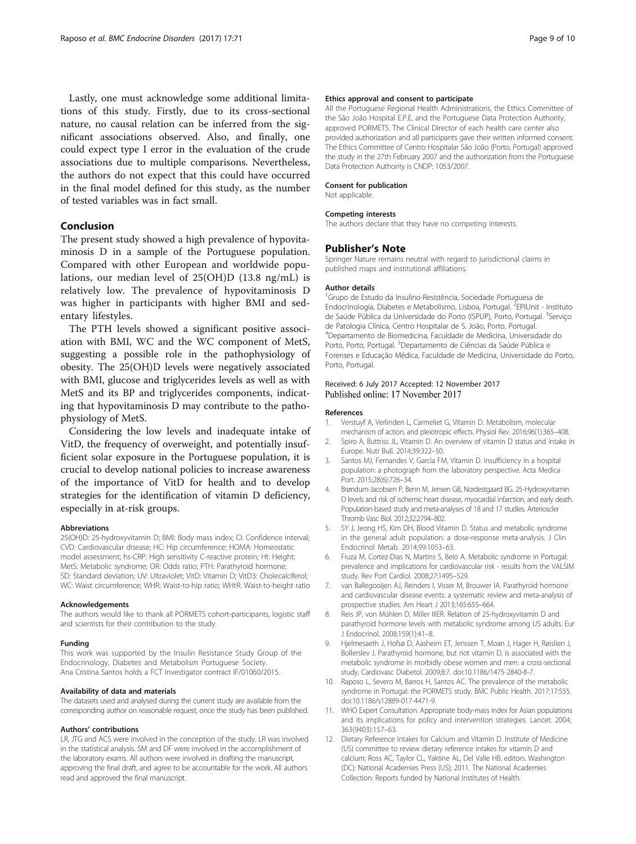<span id="page-8-0"></span>Lastly, one must acknowledge some additional limitations of this study. Firstly, due to its cross-sectional nature, no causal relation can be inferred from the significant associations observed. Also, and finally, one could expect type I error in the evaluation of the crude associations due to multiple comparisons. Nevertheless, the authors do not expect that this could have occurred in the final model defined for this study, as the number of tested variables was in fact small.

## Conclusion

The present study showed a high prevalence of hypovitaminosis D in a sample of the Portuguese population. Compared with other European and worldwide populations, our median level of 25(OH)D (13.8 ng/mL) is relatively low. The prevalence of hypovitaminosis D was higher in participants with higher BMI and sedentary lifestyles.

The PTH levels showed a significant positive association with BMI, WC and the WC component of MetS, suggesting a possible role in the pathophysiology of obesity. The 25(OH)D levels were negatively associated with BMI, glucose and triglycerides levels as well as with MetS and its BP and triglycerides components, indicating that hypovitaminosis D may contribute to the pathophysiology of MetS.

Considering the low levels and inadequate intake of VitD, the frequency of overweight, and potentially insufficient solar exposure in the Portuguese population, it is crucial to develop national policies to increase awareness of the importance of VitD for health and to develop strategies for the identification of vitamin D deficiency, especially in at-risk groups.

#### Abbreviations

25(OH)D: 25-hydroxyvitamin D; BMI: Body mass index; CI: Confidence interval; CVD: Cardiovascular disease; HC: Hip circumference; HOMA: Homeostatic model assessment; hs-CRP: High sensitivity C-reactive protein; Ht: Height; MetS: Metabolic syndrome; OR: Odds ratio; PTH: Parathyroid hormone; SD: Standard deviation; UV: Ultraviolet; VitD: Vitamin D; VitD3: Cholecalciferol; WC: Waist circumference; WHR: Waist-to-hip ratio; WHtR: Waist-to-height ratio

#### Acknowledgements

The authors would like to thank all PORMETS cohort-participants, logistic staff and scientists for their contribution to the study.

#### Funding

This work was supported by the Insulin Resistance Study Group of the Endocrinology, Diabetes and Metabolism Portuguese Society. Ana Cristina Santos holds a FCT Investigator contract IF/01060/2015.

#### Availability of data and materials

The datasets used and analysed during the current study are available from the corresponding author on reasonable request, once the study has been published.

#### Authors' contributions

LR, JTG and ACS were involved in the conception of the study. LR was involved in the statistical analysis. SM and DF were involved in the accomplishment of the laboratory exams. All authors were involved in drafting the manuscript, approving the final draft, and agree to be accountable for the work. All authors read and approved the final manuscript.

#### Ethics approval and consent to participate

All the Portuguese Regional Health Administrations, the Ethics Committee of the São João Hospital E.P.E. and the Portuguese Data Protection Authority, approved PORMETS. The Clinical Director of each health care center also provided authorization and all participants gave their written informed consent. The Ethics Committee of Centro Hospitalar São João (Porto, Portugal) approved the study in the 27th February 2007 and the authorization from the Portuguese Data Protection Authority is CNDP: 1053/2007.

#### Consent for publication

Not applicable.

#### Competing interests

The authors declare that they have no competing interests.

#### Publisher's Note

Springer Nature remains neutral with regard to jurisdictional claims in published maps and institutional affiliations.

#### Author details

1 Grupo de Estudo da Insulino-Resistência, Sociedade Portuguesa de Endocrinologia, Diabetes e Metabolismo, Lisboa, Portugal. <sup>2</sup>EPIUnit - Institutc de Saúde Pública da Universidade do Porto (ISPUP), Porto, Portugal. <sup>3</sup>Serviço de Patologia Clínica, Centro Hospitalar de S. João, Porto, Portugal. 4 Departamento de Biomedicina, Faculdade de Medicina, Universidade do Porto, Porto, Portugal. <sup>5</sup>Departamento de Ciências da Saúde Pública e Forenses e Educação Médica, Faculdade de Medicina, Universidade do Porto, Porto, Portugal.

#### Received: 6 July 2017 Accepted: 12 November 2017 Published online: 17 November 2017

#### References

- 1. Verstuyf A, Verlinden L, Carmeliet G, Vitamin D. Metabolism, molecular mechanism of action, and pleiotropic effects. Physiol Rev. 2016;96(1):365–408.
- 2. Spiro A, Buttriss JL, Vitamin D. An overview of vitamin D status and intake in Europe. Nutr Bull. 2014;39:322–50.
- 3. Santos MJ, Fernandes V, Garcia FM, Vitamin D. Insufficiency in a hospital population: a photograph from the laboratory perspective. Acta Medica Port. 2015;28(6):726–34.
- 4. Brøndum-Jacobsen P, Benn M, Jensen GB, Nordestgaard BG. 25-Hydroxyvitamin D levels and risk of ischemic heart disease, myocardial infarction, and early death. Population-based study and meta-analyses of 18 and 17 studies. Arterioscler Thromb Vasc Biol. 2012;32:2794–802.
- 5. SY J, Jeong HS, Kim DH, Blood Vitamin D. Status and metabolic syndrome in the general adult population: a dose-response meta-analysis. J Clin Endocrinol Metab. 2014;99:1053–63.
- 6. Fiuza M, Cortez-Dias N, Martins S, Belo A. Metabolic syndrome in Portugal: prevalence and implications for cardiovascular risk - results from the VALSIM study. Rev Port Cardiol. 2008;27:1495–529.
- 7. van Ballegooijen AJ, Reinders I, Visser M, Brouwer IA. Parathyroid hormone and cardiovascular disease events: a systematic review and meta-analysis of prospective studies. Am Heart J 2013;165:655–664.
- 8. Reis JP, von Mühlen D, Miller IIIER. Relation of 25-hydroxyvitamin D and parathyroid hormone levels with metabolic syndrome among US adults. Eur J Endocrinol. 2008;159(1):41–8.
- 9. Hjelmesaeth J, Hofsø D, Aasheim ET, Jenssen T, Moan J, Hager H, Røislien J, Bollerslev J. Parathyroid hormone, but not vitamin D, is associated with the metabolic syndrome in morbidly obese women and men: a cross-sectional study. Cardiovasc Diabetol. 2009;8:7. doi:[10.1186/1475-2840-8-7](http://dx.doi.org/10.1186/1475-2840-8-7).
- 10. Raposo L, Severo M, Barros H, Santos AC. The prevalence of the metabolic syndrome in Portugal: the PORMETS study. BMC Public Health. 2017;17:555. doi[:10.1186/s12889-017-4471-9.](http://dx.doi.org/10.1186/s12889-017-4471-9.)
- 11. WHO Expert Consultation. Appropriate body-mass index for Asian populations and its implications for policy and intervention strategies. Lancet. 2004; 363(9403):157–63.
- 12. Dietary Reference Intakes for Calcium and Vitamin D. Institute of Medicine (US) committee to review dietary reference intakes for vitamin D and calcium; Ross AC, Taylor CL, Yaktine AL, Del Valle HB, editors. Washington (DC): National Academies Press (US); 2011. The National Academies Collection: Reports funded by National Institutes of Health.